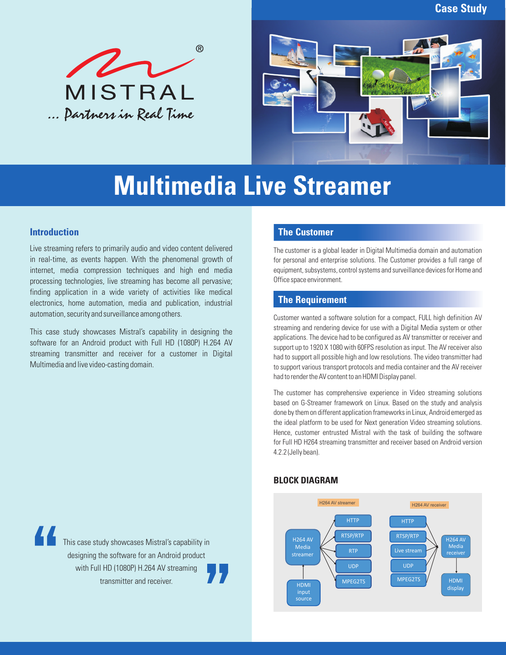**Case Study**





# **Multimedia Live Streamer**

## **Introduction**

Live streaming refers to primarily audio and video content delivered in real-time, as events happen. With the phenomenal growth of internet, media compression techniques and high end media processing technologies, live streaming has become all pervasive; finding application in a wide variety of activities like medical electronics, home automation, media and publication, industrial automation, security and surveillance among others.

This case study showcases Mistral's capability in designing the software for an Android product with Full HD (1080P) H.264 AV streaming transmitter and receiver for a customer in Digital Multimedia and live video-casting domain.

## **The Customer**

The customer is a global leader in Digital Multimedia domain and automation for personal and enterprise solutions. The Customer provides a full range of equipment, subsystems, control systems and surveillance devices for Home and Office space environment.

# **The Requirement**

Customer wanted a software solution for a compact, FULL high definition AV streaming and rendering device for use with a Digital Media system or other applications. The device had to be configured as AV transmitter or receiver and support up to 1920 X 1080 with 60FPS resolution as input. The AV receiver also had to support all possible high and low resolutions. The video transmitter had to support various transport protocols and media container and the AV receiver had to render the AV content to an HDMI Display panel.

The customer has comprehensive experience in Video streaming solutions based on G-Streamer framework on Linux. Based on the study and analysis done by them on different application frameworks in Linux, Android emerged as the ideal platform to be used for Next generation Video streaming solutions. Hence, customer entrusted Mistral with the task of building the software for Full HD H264 streaming transmitter and receiver based on Android version 4.2.2 (Jelly bean).



#### **BLOCK DIAGRAM**

This case study showcases Mistral's capability in designing the software for an Android product with Full HD (1080P) H.264 AV streaming transmitter and receiver.